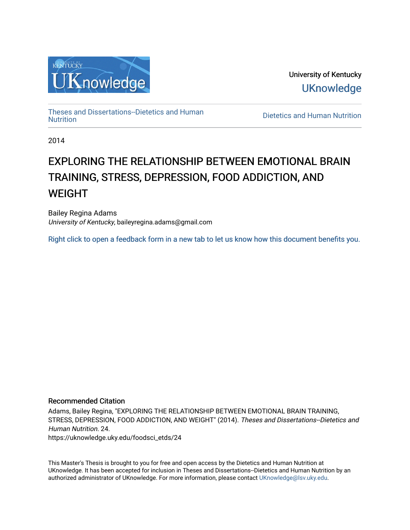

University of Kentucky **UKnowledge** 

[Theses and Dissertations--Dietetics and Human](https://uknowledge.uky.edu/foodsci_etds)

Dietetics and Human [Nutrition](https://uknowledge.uky.edu/foodsci_etds)

2014

# EXPLORING THE RELATIONSHIP BETWEEN EMOTIONAL BRAIN TRAINING, STRESS, DEPRESSION, FOOD ADDICTION, AND WEIGHT

Bailey Regina Adams University of Kentucky, baileyregina.adams@gmail.com

[Right click to open a feedback form in a new tab to let us know how this document benefits you.](https://uky.az1.qualtrics.com/jfe/form/SV_9mq8fx2GnONRfz7)

# Recommended Citation

Adams, Bailey Regina, "EXPLORING THE RELATIONSHIP BETWEEN EMOTIONAL BRAIN TRAINING, STRESS, DEPRESSION, FOOD ADDICTION, AND WEIGHT" (2014). Theses and Dissertations--Dietetics and Human Nutrition. 24.

https://uknowledge.uky.edu/foodsci\_etds/24

This Master's Thesis is brought to you for free and open access by the Dietetics and Human Nutrition at UKnowledge. It has been accepted for inclusion in Theses and Dissertations--Dietetics and Human Nutrition by an authorized administrator of UKnowledge. For more information, please contact [UKnowledge@lsv.uky.edu](mailto:UKnowledge@lsv.uky.edu).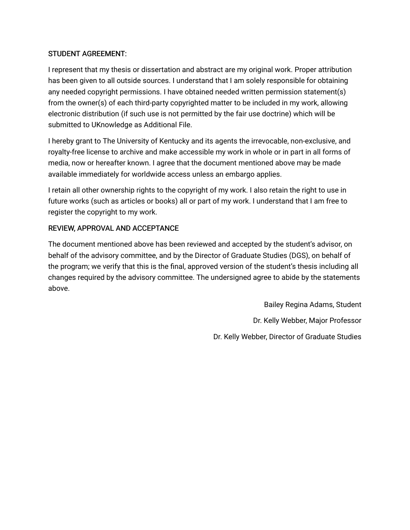# STUDENT AGREEMENT:

I represent that my thesis or dissertation and abstract are my original work. Proper attribution has been given to all outside sources. I understand that I am solely responsible for obtaining any needed copyright permissions. I have obtained needed written permission statement(s) from the owner(s) of each third-party copyrighted matter to be included in my work, allowing electronic distribution (if such use is not permitted by the fair use doctrine) which will be submitted to UKnowledge as Additional File.

I hereby grant to The University of Kentucky and its agents the irrevocable, non-exclusive, and royalty-free license to archive and make accessible my work in whole or in part in all forms of media, now or hereafter known. I agree that the document mentioned above may be made available immediately for worldwide access unless an embargo applies.

I retain all other ownership rights to the copyright of my work. I also retain the right to use in future works (such as articles or books) all or part of my work. I understand that I am free to register the copyright to my work.

# REVIEW, APPROVAL AND ACCEPTANCE

The document mentioned above has been reviewed and accepted by the student's advisor, on behalf of the advisory committee, and by the Director of Graduate Studies (DGS), on behalf of the program; we verify that this is the final, approved version of the student's thesis including all changes required by the advisory committee. The undersigned agree to abide by the statements above.

> Bailey Regina Adams, Student Dr. Kelly Webber, Major Professor Dr. Kelly Webber, Director of Graduate Studies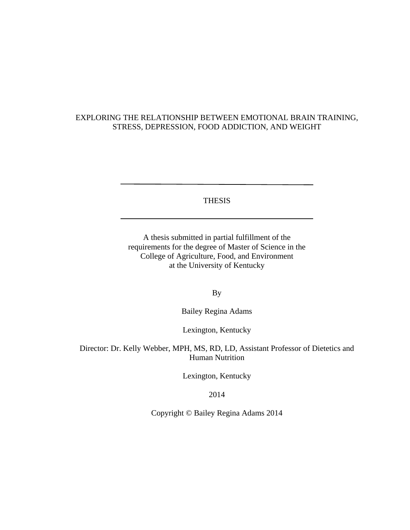# EXPLORING THE RELATIONSHIP BETWEEN EMOTIONAL BRAIN TRAINING, STRESS, DEPRESSION, FOOD ADDICTION, AND WEIGHT

THESIS

A thesis submitted in partial fulfillment of the requirements for the degree of Master of Science in the College of Agriculture, Food, and Environment at the University of Kentucky

By

Bailey Regina Adams

Lexington, Kentucky

Director: Dr. Kelly Webber, MPH, MS, RD, LD, Assistant Professor of Dietetics and Human Nutrition

Lexington, Kentucky

2014

Copyright © Bailey Regina Adams 2014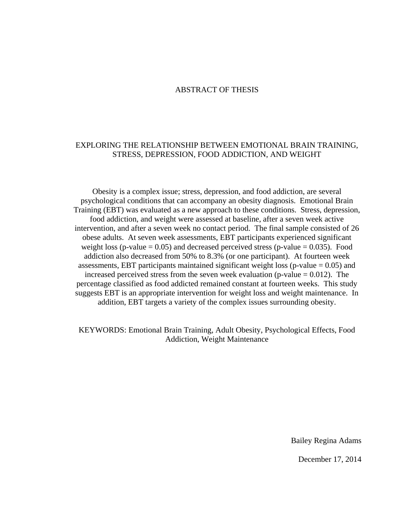# ABSTRACT OF THESIS

# EXPLORING THE RELATIONSHIP BETWEEN EMOTIONAL BRAIN TRAINING, STRESS, DEPRESSION, FOOD ADDICTION, AND WEIGHT

Obesity is a complex issue; stress, depression, and food addiction, are several psychological conditions that can accompany an obesity diagnosis. Emotional Brain Training (EBT) was evaluated as a new approach to these conditions. Stress, depression, food addiction, and weight were assessed at baseline, after a seven week active intervention, and after a seven week no contact period. The final sample consisted of 26 obese adults. At seven week assessments, EBT participants experienced significant weight loss (p-value  $= 0.05$ ) and decreased perceived stress (p-value  $= 0.035$ ). Food addiction also decreased from 50% to 8.3% (or one participant). At fourteen week assessments, EBT participants maintained significant weight loss ( $p$ -value  $= 0.05$ ) and increased perceived stress from the seven week evaluation (p-value  $= 0.012$ ). The percentage classified as food addicted remained constant at fourteen weeks. This study suggests EBT is an appropriate intervention for weight loss and weight maintenance. In addition, EBT targets a variety of the complex issues surrounding obesity.

KEYWORDS: Emotional Brain Training, Adult Obesity, Psychological Effects, Food Addiction, Weight Maintenance

Bailey Regina Adams

December 17, 2014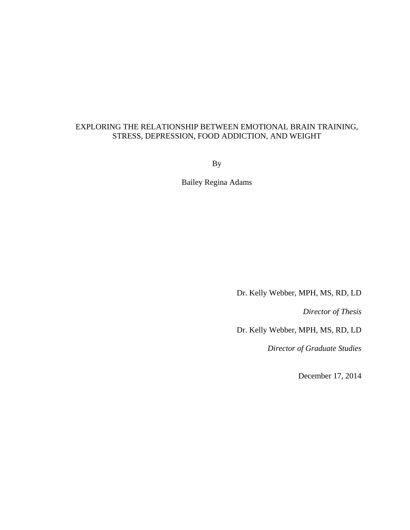# EXPLORING THE RELATIONSHIP BETWEEN EMOTIONAL BRAIN TRAINING, STRESS, DEPRESSION, FOOD ADDICTION, AND WEIGHT

By

Bailey Regina Adams

Dr. Kelly Webber, MPH, MS, RD, LD

*Director of Thesis* 

Dr. Kelly Webber, MPH, MS, RD, LD

*Director of Graduate Studies* 

December 17, 2014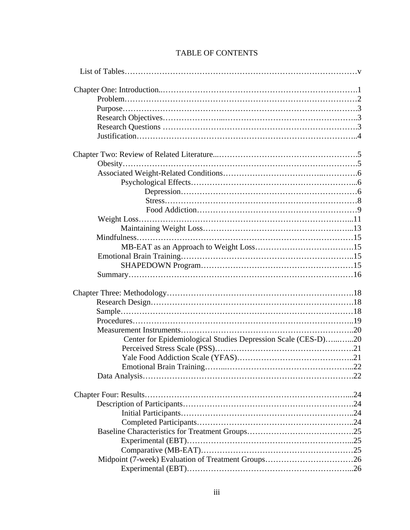| Center for Epidemiological Studies Depression Scale (CES-D)20 |
|---------------------------------------------------------------|
|                                                               |
|                                                               |
|                                                               |
|                                                               |
|                                                               |
|                                                               |
|                                                               |
|                                                               |
|                                                               |
|                                                               |
|                                                               |
|                                                               |
|                                                               |
|                                                               |
|                                                               |
|                                                               |
|                                                               |
|                                                               |
|                                                               |
|                                                               |
|                                                               |
|                                                               |
|                                                               |
|                                                               |
|                                                               |
|                                                               |
|                                                               |
|                                                               |
|                                                               |
|                                                               |
|                                                               |
|                                                               |
|                                                               |
|                                                               |
|                                                               |
|                                                               |
|                                                               |
|                                                               |
|                                                               |
|                                                               |
|                                                               |

# TABLE OF CONTENTS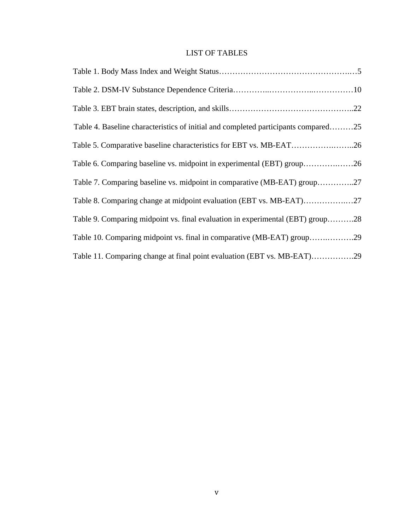# LIST OF TABLES

| Table 4. Baseline characteristics of initial and completed participants compared25 |
|------------------------------------------------------------------------------------|
| Table 5. Comparative baseline characteristics for EBT vs. MB-EAT26                 |
| Table 6. Comparing baseline vs. midpoint in experimental (EBT) group26             |
| Table 7. Comparing baseline vs. midpoint in comparative (MB-EAT) group27           |
| Table 8. Comparing change at midpoint evaluation (EBT vs. MB-EAT)27                |
| Table 9. Comparing midpoint vs. final evaluation in experimental (EBT) group28     |
| Table 10. Comparing midpoint vs. final in comparative (MB-EAT) group29             |
| Table 11. Comparing change at final point evaluation (EBT vs. MB-EAT)29            |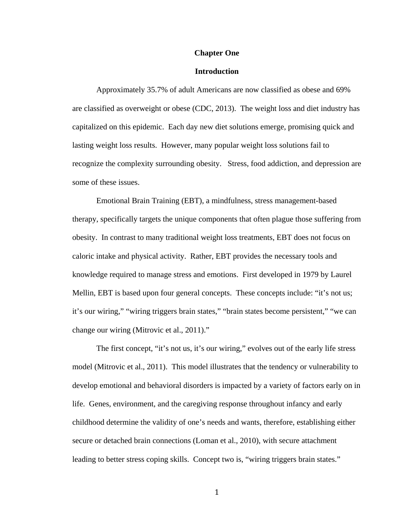#### **Chapter One**

## **Introduction**

 Approximately 35.7% of adult Americans are now classified as obese and 69% are classified as overweight or obese (CDC, 2013). The weight loss and diet industry has capitalized on this epidemic. Each day new diet solutions emerge, promising quick and lasting weight loss results. However, many popular weight loss solutions fail to recognize the complexity surrounding obesity. Stress, food addiction, and depression are some of these issues.

 Emotional Brain Training (EBT), a mindfulness, stress management-based therapy, specifically targets the unique components that often plague those suffering from obesity. In contrast to many traditional weight loss treatments, EBT does not focus on caloric intake and physical activity. Rather, EBT provides the necessary tools and knowledge required to manage stress and emotions. First developed in 1979 by Laurel Mellin, EBT is based upon four general concepts. These concepts include: "it's not us; it's our wiring," "wiring triggers brain states," "brain states become persistent," "we can change our wiring (Mitrovic et al., 2011)."

 The first concept, "it's not us, it's our wiring," evolves out of the early life stress model (Mitrovic et al., 2011). This model illustrates that the tendency or vulnerability to develop emotional and behavioral disorders is impacted by a variety of factors early on in life. Genes, environment, and the caregiving response throughout infancy and early childhood determine the validity of one's needs and wants, therefore, establishing either secure or detached brain connections (Loman et al., 2010), with secure attachment leading to better stress coping skills. Concept two is, "wiring triggers brain states."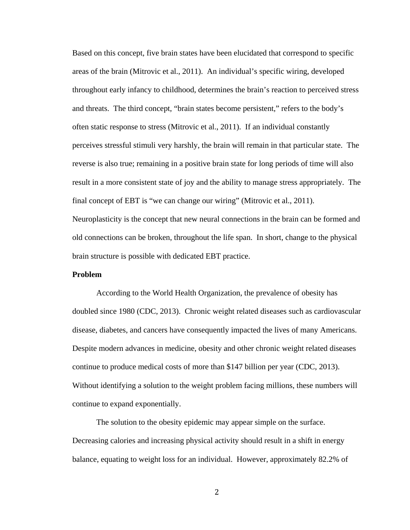Based on this concept, five brain states have been elucidated that correspond to specific areas of the brain (Mitrovic et al., 2011). An individual's specific wiring, developed throughout early infancy to childhood, determines the brain's reaction to perceived stress and threats. The third concept, "brain states become persistent," refers to the body's often static response to stress (Mitrovic et al., 2011). If an individual constantly perceives stressful stimuli very harshly, the brain will remain in that particular state. The reverse is also true; remaining in a positive brain state for long periods of time will also result in a more consistent state of joy and the ability to manage stress appropriately. The final concept of EBT is "we can change our wiring" (Mitrovic et al., 2011).

Neuroplasticity is the concept that new neural connections in the brain can be formed and old connections can be broken, throughout the life span. In short, change to the physical brain structure is possible with dedicated EBT practice.

# **Problem**

 According to the World Health Organization, the prevalence of obesity has doubled since 1980 (CDC, 2013). Chronic weight related diseases such as cardiovascular disease, diabetes, and cancers have consequently impacted the lives of many Americans. Despite modern advances in medicine, obesity and other chronic weight related diseases continue to produce medical costs of more than \$147 billion per year (CDC, 2013). Without identifying a solution to the weight problem facing millions, these numbers will continue to expand exponentially.

 The solution to the obesity epidemic may appear simple on the surface. Decreasing calories and increasing physical activity should result in a shift in energy balance, equating to weight loss for an individual. However, approximately 82.2% of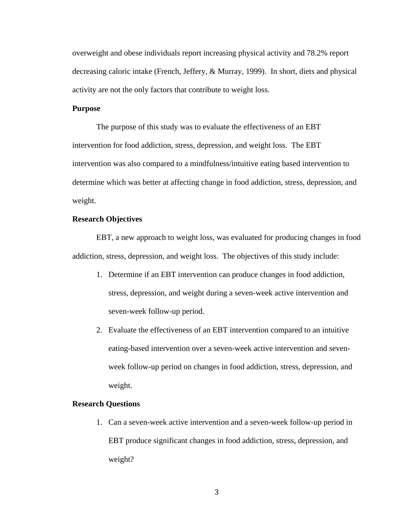overweight and obese individuals report increasing physical activity and 78.2% report decreasing caloric intake (French, Jeffery, & Murray, 1999). In short, diets and physical activity are not the only factors that contribute to weight loss.

# **Purpose**

 The purpose of this study was to evaluate the effectiveness of an EBT intervention for food addiction, stress, depression, and weight loss. The EBT intervention was also compared to a mindfulness/intuitive eating based intervention to determine which was better at affecting change in food addiction, stress, depression, and weight.

# **Research Objectives**

 EBT, a new approach to weight loss, was evaluated for producing changes in food addiction, stress, depression, and weight loss. The objectives of this study include:

- 1. Determine if an EBT intervention can produce changes in food addiction, stress, depression, and weight during a seven-week active intervention and seven-week follow-up period.
- 2. Evaluate the effectiveness of an EBT intervention compared to an intuitive eating-based intervention over a seven-week active intervention and sevenweek follow-up period on changes in food addiction, stress, depression, and weight.

#### **Research Questions**

1. Can a seven-week active intervention and a seven-week follow-up period in EBT produce significant changes in food addiction, stress, depression, and weight?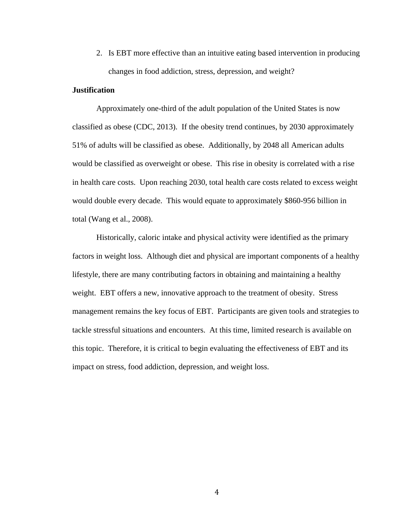2. Is EBT more effective than an intuitive eating based intervention in producing changes in food addiction, stress, depression, and weight?

# **Justification**

Approximately one-third of the adult population of the United States is now classified as obese (CDC, 2013). If the obesity trend continues, by 2030 approximately 51% of adults will be classified as obese. Additionally, by 2048 all American adults would be classified as overweight or obese. This rise in obesity is correlated with a rise in health care costs. Upon reaching 2030, total health care costs related to excess weight would double every decade. This would equate to approximately \$860-956 billion in total (Wang et al., 2008).

 Historically, caloric intake and physical activity were identified as the primary factors in weight loss. Although diet and physical are important components of a healthy lifestyle, there are many contributing factors in obtaining and maintaining a healthy weight. EBT offers a new, innovative approach to the treatment of obesity. Stress management remains the key focus of EBT. Participants are given tools and strategies to tackle stressful situations and encounters. At this time, limited research is available on this topic. Therefore, it is critical to begin evaluating the effectiveness of EBT and its impact on stress, food addiction, depression, and weight loss.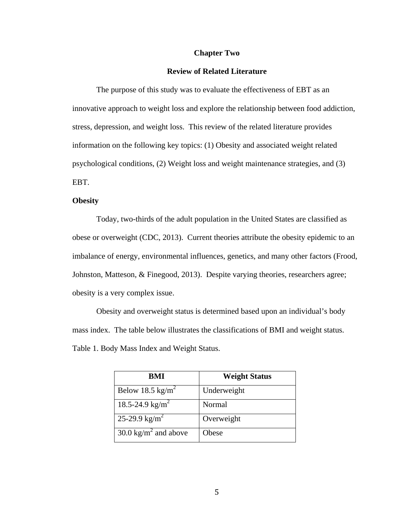## **Chapter Two**

# **Review of Related Literature**

The purpose of this study was to evaluate the effectiveness of EBT as an innovative approach to weight loss and explore the relationship between food addiction, stress, depression, and weight loss. This review of the related literature provides information on the following key topics: (1) Obesity and associated weight related psychological conditions, (2) Weight loss and weight maintenance strategies, and (3) EBT.

## **Obesity**

 Today, two-thirds of the adult population in the United States are classified as obese or overweight (CDC, 2013). Current theories attribute the obesity epidemic to an imbalance of energy, environmental influences, genetics, and many other factors (Frood, Johnston, Matteson, & Finegood, 2013). Despite varying theories, researchers agree; obesity is a very complex issue.

 Obesity and overweight status is determined based upon an individual's body mass index. The table below illustrates the classifications of BMI and weight status. Table 1. Body Mass Index and Weight Status.

| BMI                              | <b>Weight Status</b> |
|----------------------------------|----------------------|
| Below 18.5 kg/m <sup>2</sup>     | Underweight          |
| 18.5-24.9 kg/m <sup>2</sup>      | Normal               |
| 25-29.9 kg/m <sup>2</sup>        | Overweight           |
| 30.0 kg/m <sup>2</sup> and above | Obese                |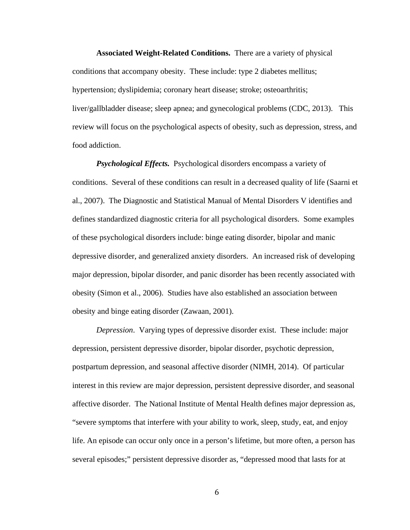**Associated Weight-Related Conditions.** There are a variety of physical conditions that accompany obesity. These include: type 2 diabetes mellitus; hypertension; dyslipidemia; coronary heart disease; stroke; osteoarthritis; liver/gallbladder disease; sleep apnea; and gynecological problems (CDC, 2013). This review will focus on the psychological aspects of obesity, such as depression, stress, and food addiction.

*Psychological Effects.* Psychological disorders encompass a variety of conditions. Several of these conditions can result in a decreased quality of life (Saarni et al., 2007). The Diagnostic and Statistical Manual of Mental Disorders V identifies and defines standardized diagnostic criteria for all psychological disorders. Some examples of these psychological disorders include: binge eating disorder, bipolar and manic depressive disorder, and generalized anxiety disorders. An increased risk of developing major depression, bipolar disorder, and panic disorder has been recently associated with obesity (Simon et al., 2006). Studies have also established an association between obesity and binge eating disorder (Zawaan, 2001).

*Depression*. Varying types of depressive disorder exist. These include: major depression, persistent depressive disorder, bipolar disorder, psychotic depression, postpartum depression, and seasonal affective disorder (NIMH, 2014). Of particular interest in this review are major depression, persistent depressive disorder, and seasonal affective disorder. The National Institute of Mental Health defines major depression as, "severe symptoms that interfere with your ability to work, sleep, study, eat, and enjoy life. An episode can occur only once in a person's lifetime, but more often, a person has several episodes;" persistent depressive disorder as, "depressed mood that lasts for at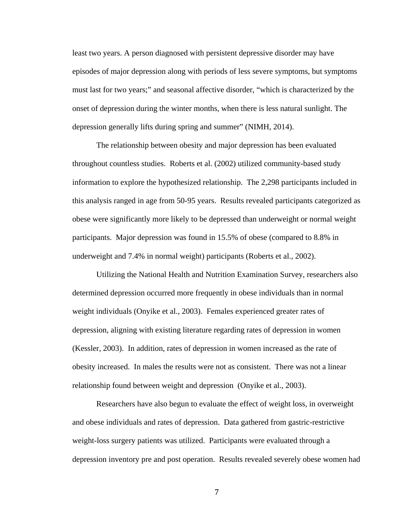least two years. A person diagnosed with persistent depressive disorder may have episodes of major depression along with periods of less severe symptoms, but symptoms must last for two years;" and seasonal affective disorder, "which is characterized by the onset of depression during the winter months, when there is less natural sunlight. The depression generally lifts during spring and summer" (NIMH, 2014).

 The relationship between obesity and major depression has been evaluated throughout countless studies. Roberts et al. (2002) utilized community-based study information to explore the hypothesized relationship. The 2,298 participants included in this analysis ranged in age from 50-95 years. Results revealed participants categorized as obese were significantly more likely to be depressed than underweight or normal weight participants. Major depression was found in 15.5% of obese (compared to 8.8% in underweight and 7.4% in normal weight) participants (Roberts et al., 2002).

 Utilizing the National Health and Nutrition Examination Survey, researchers also determined depression occurred more frequently in obese individuals than in normal weight individuals (Onyike et al., 2003). Females experienced greater rates of depression, aligning with existing literature regarding rates of depression in women (Kessler, 2003). In addition, rates of depression in women increased as the rate of obesity increased. In males the results were not as consistent. There was not a linear relationship found between weight and depression (Onyike et al., 2003).

 Researchers have also begun to evaluate the effect of weight loss, in overweight and obese individuals and rates of depression. Data gathered from gastric-restrictive weight-loss surgery patients was utilized. Participants were evaluated through a depression inventory pre and post operation. Results revealed severely obese women had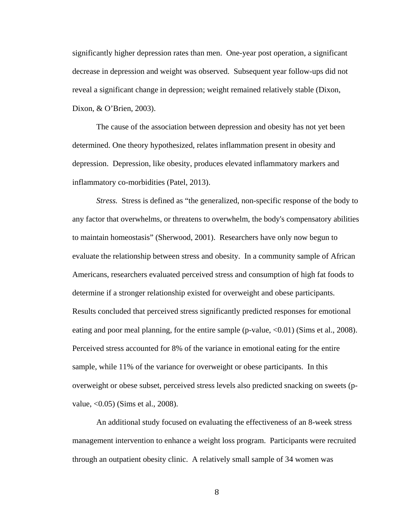significantly higher depression rates than men. One-year post operation, a significant decrease in depression and weight was observed. Subsequent year follow-ups did not reveal a significant change in depression; weight remained relatively stable (Dixon, Dixon, & O'Brien, 2003).

 The cause of the association between depression and obesity has not yet been determined. One theory hypothesized, relates inflammation present in obesity and depression. Depression, like obesity, produces elevated inflammatory markers and inflammatory co-morbidities (Patel, 2013).

 *Stress.* Stress is defined as "the generalized, non-specific response of the body to any factor that overwhelms, or threatens to overwhelm, the body's compensatory abilities to maintain homeostasis" (Sherwood, 2001). Researchers have only now begun to evaluate the relationship between stress and obesity. In a community sample of African Americans, researchers evaluated perceived stress and consumption of high fat foods to determine if a stronger relationship existed for overweight and obese participants. Results concluded that perceived stress significantly predicted responses for emotional eating and poor meal planning, for the entire sample (p-value,  $\langle 0.01 \rangle$  (Sims et al., 2008). Perceived stress accounted for 8% of the variance in emotional eating for the entire sample, while 11% of the variance for overweight or obese participants. In this overweight or obese subset, perceived stress levels also predicted snacking on sweets (pvalue, <0.05) (Sims et al., 2008).

 An additional study focused on evaluating the effectiveness of an 8-week stress management intervention to enhance a weight loss program. Participants were recruited through an outpatient obesity clinic. A relatively small sample of 34 women was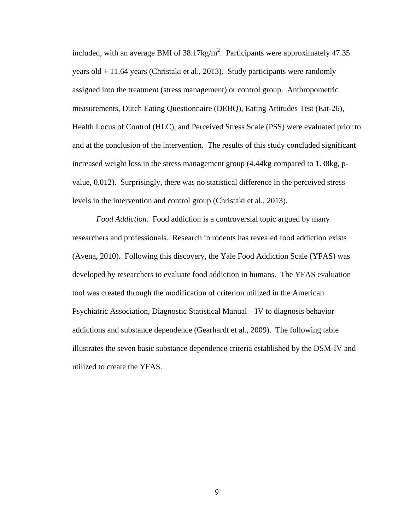included, with an average BMI of  $38.17 \text{kg/m}^2$ . Participants were approximately 47.35 years old + 11.64 years (Christaki et al., 2013). Study participants were randomly assigned into the treatment (stress management) or control group. Anthropometric measurements, Dutch Eating Questionnaire (DEBQ), Eating Attitudes Test (Eat-26), Health Locus of Control (HLC), and Perceived Stress Scale (PSS) were evaluated prior to and at the conclusion of the intervention. The results of this study concluded significant increased weight loss in the stress management group (4.44kg compared to 1.38kg, pvalue, 0.012). Surprisingly, there was no statistical difference in the perceived stress levels in the intervention and control group (Christaki et al., 2013).

*Food Addiction.* Food addiction is a controversial topic argued by many researchers and professionals. Research in rodents has revealed food addiction exists (Avena, 2010). Following this discovery, the Yale Food Addiction Scale (YFAS) was developed by researchers to evaluate food addiction in humans. The YFAS evaluation tool was created through the modification of criterion utilized in the American Psychiatric Association, Diagnostic Statistical Manual – IV to diagnosis behavior addictions and substance dependence (Gearhardt et al., 2009). The following table illustrates the seven basic substance dependence criteria established by the DSM-IV and utilized to create the YFAS.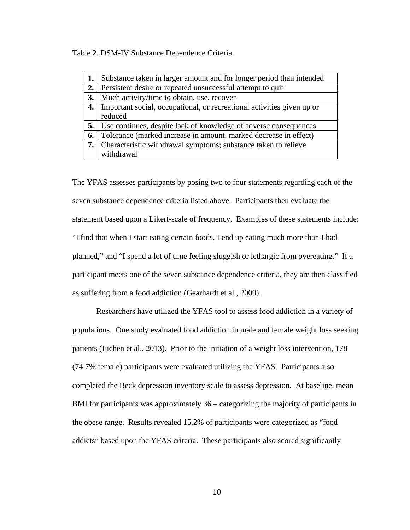Table 2. DSM-IV Substance Dependence Criteria.

| 1. | Substance taken in larger amount and for longer period than intended   |
|----|------------------------------------------------------------------------|
| 2. | Persistent desire or repeated unsuccessful attempt to quit             |
| 3. | Much activity/time to obtain, use, recover                             |
| 4. | Important social, occupational, or recreational activities given up or |
|    | reduced                                                                |
| 5. | Use continues, despite lack of knowledge of adverse consequences       |
| 6. | Tolerance (marked increase in amount, marked decrease in effect)       |
|    | 7. Characteristic withdrawal symptoms; substance taken to relieve      |
|    | withdrawal                                                             |

The YFAS assesses participants by posing two to four statements regarding each of the seven substance dependence criteria listed above. Participants then evaluate the statement based upon a Likert-scale of frequency. Examples of these statements include: "I find that when I start eating certain foods, I end up eating much more than I had planned," and "I spend a lot of time feeling sluggish or lethargic from overeating." If a participant meets one of the seven substance dependence criteria, they are then classified as suffering from a food addiction (Gearhardt et al., 2009).

Researchers have utilized the YFAS tool to assess food addiction in a variety of populations. One study evaluated food addiction in male and female weight loss seeking patients (Eichen et al., 2013). Prior to the initiation of a weight loss intervention, 178 (74.7% female) participants were evaluated utilizing the YFAS. Participants also completed the Beck depression inventory scale to assess depression. At baseline, mean BMI for participants was approximately 36 – categorizing the majority of participants in the obese range. Results revealed 15.2% of participants were categorized as "food addicts" based upon the YFAS criteria. These participants also scored significantly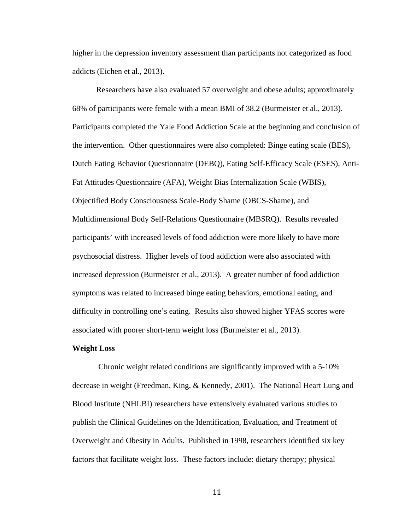higher in the depression inventory assessment than participants not categorized as food addicts (Eichen et al., 2013).

Researchers have also evaluated 57 overweight and obese adults; approximately 68% of participants were female with a mean BMI of 38.2 (Burmeister et al., 2013). Participants completed the Yale Food Addiction Scale at the beginning and conclusion of the intervention. Other questionnaires were also completed: Binge eating scale (BES), Dutch Eating Behavior Questionnaire (DEBQ), Eating Self-Efficacy Scale (ESES), Anti-Fat Attitudes Questionnaire (AFA), Weight Bias Internalization Scale (WBIS), Objectified Body Consciousness Scale-Body Shame (OBCS-Shame), and Multidimensional Body Self-Relations Questionnaire (MBSRQ). Results revealed participants' with increased levels of food addiction were more likely to have more psychosocial distress. Higher levels of food addiction were also associated with increased depression (Burmeister et al., 2013). A greater number of food addiction symptoms was related to increased binge eating behaviors, emotional eating, and difficulty in controlling one's eating. Results also showed higher YFAS scores were associated with poorer short-term weight loss (Burmeister et al., 2013).

#### **Weight Loss**

 Chronic weight related conditions are significantly improved with a 5-10% decrease in weight (Freedman, King, & Kennedy, 2001). The National Heart Lung and Blood Institute (NHLBI) researchers have extensively evaluated various studies to publish the Clinical Guidelines on the Identification, Evaluation, and Treatment of Overweight and Obesity in Adults. Published in 1998, researchers identified six key factors that facilitate weight loss. These factors include: dietary therapy; physical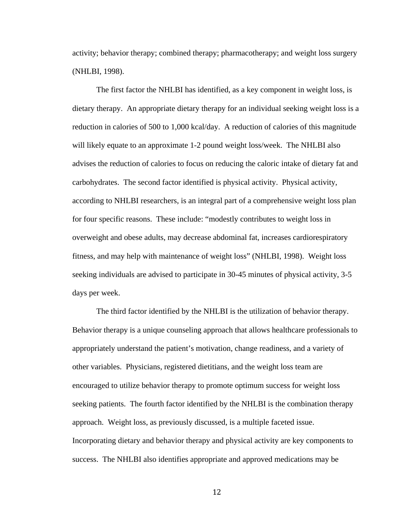activity; behavior therapy; combined therapy; pharmacotherapy; and weight loss surgery (NHLBI, 1998).

The first factor the NHLBI has identified, as a key component in weight loss, is dietary therapy. An appropriate dietary therapy for an individual seeking weight loss is a reduction in calories of 500 to 1,000 kcal/day. A reduction of calories of this magnitude will likely equate to an approximate 1-2 pound weight loss/week. The NHLBI also advises the reduction of calories to focus on reducing the caloric intake of dietary fat and carbohydrates. The second factor identified is physical activity. Physical activity, according to NHLBI researchers, is an integral part of a comprehensive weight loss plan for four specific reasons. These include: "modestly contributes to weight loss in overweight and obese adults, may decrease abdominal fat, increases cardiorespiratory fitness, and may help with maintenance of weight loss" (NHLBI, 1998). Weight loss seeking individuals are advised to participate in 30-45 minutes of physical activity, 3-5 days per week.

The third factor identified by the NHLBI is the utilization of behavior therapy. Behavior therapy is a unique counseling approach that allows healthcare professionals to appropriately understand the patient's motivation, change readiness, and a variety of other variables. Physicians, registered dietitians, and the weight loss team are encouraged to utilize behavior therapy to promote optimum success for weight loss seeking patients. The fourth factor identified by the NHLBI is the combination therapy approach. Weight loss, as previously discussed, is a multiple faceted issue. Incorporating dietary and behavior therapy and physical activity are key components to success. The NHLBI also identifies appropriate and approved medications may be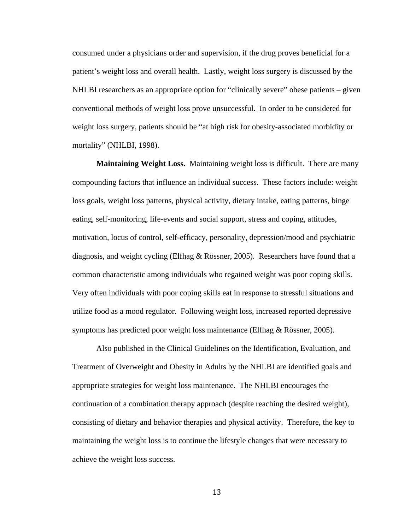consumed under a physicians order and supervision, if the drug proves beneficial for a patient's weight loss and overall health. Lastly, weight loss surgery is discussed by the NHLBI researchers as an appropriate option for "clinically severe" obese patients – given conventional methods of weight loss prove unsuccessful. In order to be considered for weight loss surgery, patients should be "at high risk for obesity-associated morbidity or mortality" (NHLBI, 1998).

**Maintaining Weight Loss.** Maintaining weight loss is difficult. There are many compounding factors that influence an individual success. These factors include: weight loss goals, weight loss patterns, physical activity, dietary intake, eating patterns, binge eating, self-monitoring, life-events and social support, stress and coping, attitudes, motivation, locus of control, self-efficacy, personality, depression/mood and psychiatric diagnosis, and weight cycling (Elfhag & Rössner, 2005). Researchers have found that a common characteristic among individuals who regained weight was poor coping skills. Very often individuals with poor coping skills eat in response to stressful situations and utilize food as a mood regulator. Following weight loss, increased reported depressive symptoms has predicted poor weight loss maintenance (Elfhag & Rössner, 2005).

Also published in the Clinical Guidelines on the Identification, Evaluation, and Treatment of Overweight and Obesity in Adults by the NHLBI are identified goals and appropriate strategies for weight loss maintenance. The NHLBI encourages the continuation of a combination therapy approach (despite reaching the desired weight), consisting of dietary and behavior therapies and physical activity. Therefore, the key to maintaining the weight loss is to continue the lifestyle changes that were necessary to achieve the weight loss success.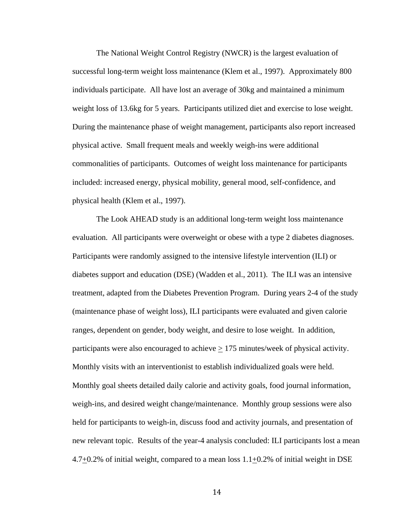The National Weight Control Registry (NWCR) is the largest evaluation of successful long-term weight loss maintenance (Klem et al., 1997). Approximately 800 individuals participate. All have lost an average of 30kg and maintained a minimum weight loss of 13.6kg for 5 years. Participants utilized diet and exercise to lose weight. During the maintenance phase of weight management, participants also report increased physical active. Small frequent meals and weekly weigh-ins were additional commonalities of participants. Outcomes of weight loss maintenance for participants included: increased energy, physical mobility, general mood, self-confidence, and physical health (Klem et al., 1997).

The Look AHEAD study is an additional long-term weight loss maintenance evaluation. All participants were overweight or obese with a type 2 diabetes diagnoses. Participants were randomly assigned to the intensive lifestyle intervention (ILI) or diabetes support and education (DSE) (Wadden et al., 2011). The ILI was an intensive treatment, adapted from the Diabetes Prevention Program. During years 2-4 of the study (maintenance phase of weight loss), ILI participants were evaluated and given calorie ranges, dependent on gender, body weight, and desire to lose weight. In addition, participants were also encouraged to achieve  $\geq$  175 minutes/week of physical activity. Monthly visits with an interventionist to establish individualized goals were held. Monthly goal sheets detailed daily calorie and activity goals, food journal information, weigh-ins, and desired weight change/maintenance. Monthly group sessions were also held for participants to weigh-in, discuss food and activity journals, and presentation of new relevant topic. Results of the year-4 analysis concluded: ILI participants lost a mean 4.7+0.2% of initial weight, compared to a mean loss 1.1+0.2% of initial weight in DSE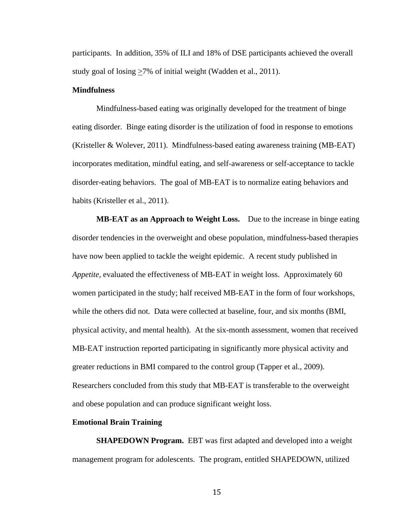participants. In addition, 35% of ILI and 18% of DSE participants achieved the overall study goal of losing  $\geq$ 7% of initial weight (Wadden et al., 2011).

# **Mindfulness**

Mindfulness-based eating was originally developed for the treatment of binge eating disorder. Binge eating disorder is the utilization of food in response to emotions (Kristeller & Wolever, 2011). Mindfulness-based eating awareness training (MB-EAT) incorporates meditation, mindful eating, and self-awareness or self-acceptance to tackle disorder-eating behaviors. The goal of MB-EAT is to normalize eating behaviors and habits (Kristeller et al., 2011).

**MB-EAT as an Approach to Weight Loss.** Due to the increase in binge eating disorder tendencies in the overweight and obese population, mindfulness-based therapies have now been applied to tackle the weight epidemic. A recent study published in *Appetite,* evaluated the effectiveness of MB-EAT in weight loss. Approximately 60 women participated in the study; half received MB-EAT in the form of four workshops, while the others did not. Data were collected at baseline, four, and six months (BMI, physical activity, and mental health). At the six-month assessment, women that received MB-EAT instruction reported participating in significantly more physical activity and greater reductions in BMI compared to the control group (Tapper et al., 2009). Researchers concluded from this study that MB-EAT is transferable to the overweight and obese population and can produce significant weight loss.

### **Emotional Brain Training**

**SHAPEDOWN Program.** EBT was first adapted and developed into a weight management program for adolescents. The program, entitled SHAPEDOWN, utilized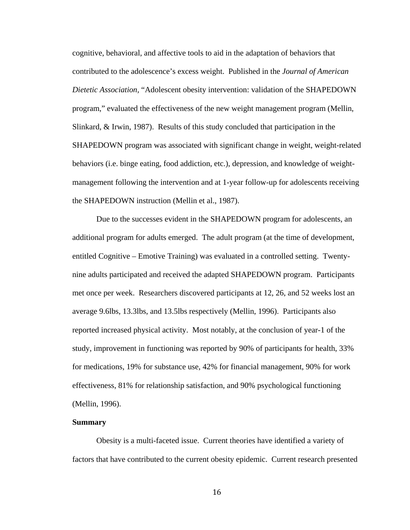cognitive, behavioral, and affective tools to aid in the adaptation of behaviors that contributed to the adolescence's excess weight. Published in the *Journal of American Dietetic Association,* "Adolescent obesity intervention: validation of the SHAPEDOWN program," evaluated the effectiveness of the new weight management program (Mellin, Slinkard, & Irwin, 1987). Results of this study concluded that participation in the SHAPEDOWN program was associated with significant change in weight, weight-related behaviors (i.e. binge eating, food addiction, etc.), depression, and knowledge of weightmanagement following the intervention and at 1-year follow-up for adolescents receiving the SHAPEDOWN instruction (Mellin et al., 1987).

Due to the successes evident in the SHAPEDOWN program for adolescents, an additional program for adults emerged. The adult program (at the time of development, entitled Cognitive – Emotive Training) was evaluated in a controlled setting. Twentynine adults participated and received the adapted SHAPEDOWN program. Participants met once per week. Researchers discovered participants at 12, 26, and 52 weeks lost an average 9.6lbs, 13.3lbs, and 13.5lbs respectively (Mellin, 1996). Participants also reported increased physical activity. Most notably, at the conclusion of year-1 of the study, improvement in functioning was reported by 90% of participants for health, 33% for medications, 19% for substance use, 42% for financial management, 90% for work effectiveness, 81% for relationship satisfaction, and 90% psychological functioning (Mellin, 1996).

# **Summary**

Obesity is a multi-faceted issue. Current theories have identified a variety of factors that have contributed to the current obesity epidemic. Current research presented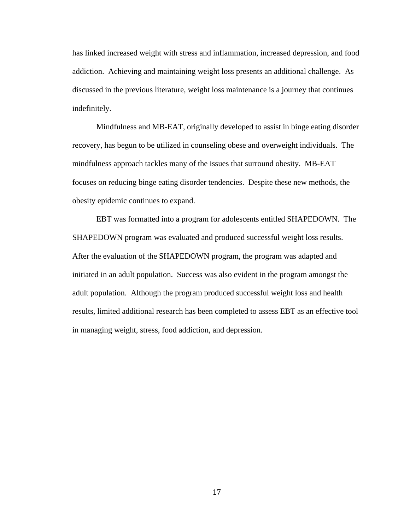has linked increased weight with stress and inflammation, increased depression, and food addiction. Achieving and maintaining weight loss presents an additional challenge. As discussed in the previous literature, weight loss maintenance is a journey that continues indefinitely.

Mindfulness and MB-EAT, originally developed to assist in binge eating disorder recovery, has begun to be utilized in counseling obese and overweight individuals. The mindfulness approach tackles many of the issues that surround obesity. MB-EAT focuses on reducing binge eating disorder tendencies. Despite these new methods, the obesity epidemic continues to expand.

EBT was formatted into a program for adolescents entitled SHAPEDOWN. The SHAPEDOWN program was evaluated and produced successful weight loss results. After the evaluation of the SHAPEDOWN program, the program was adapted and initiated in an adult population. Success was also evident in the program amongst the adult population. Although the program produced successful weight loss and health results, limited additional research has been completed to assess EBT as an effective tool in managing weight, stress, food addiction, and depression.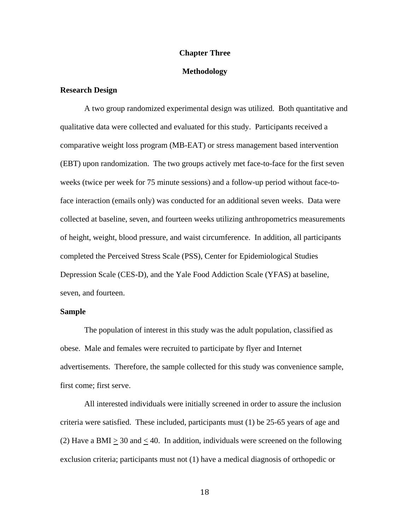## **Chapter Three**

## **Methodology**

# **Research Design**

A two group randomized experimental design was utilized. Both quantitative and qualitative data were collected and evaluated for this study. Participants received a comparative weight loss program (MB-EAT) or stress management based intervention (EBT) upon randomization. The two groups actively met face-to-face for the first seven weeks (twice per week for 75 minute sessions) and a follow-up period without face-toface interaction (emails only) was conducted for an additional seven weeks. Data were collected at baseline, seven, and fourteen weeks utilizing anthropometrics measurements of height, weight, blood pressure, and waist circumference. In addition, all participants completed the Perceived Stress Scale (PSS), Center for Epidemiological Studies Depression Scale (CES-D), and the Yale Food Addiction Scale (YFAS) at baseline, seven, and fourteen.

# **Sample**

The population of interest in this study was the adult population, classified as obese. Male and females were recruited to participate by flyer and Internet advertisements. Therefore, the sample collected for this study was convenience sample, first come; first serve.

All interested individuals were initially screened in order to assure the inclusion criteria were satisfied. These included, participants must (1) be 25-65 years of age and (2) Have a BMI  $> 30$  and  $< 40$ . In addition, individuals were screened on the following exclusion criteria; participants must not (1) have a medical diagnosis of orthopedic or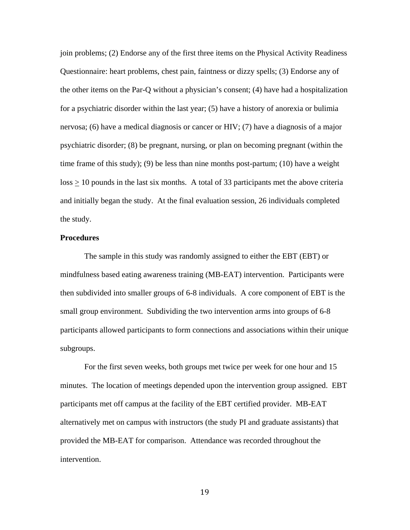join problems; (2) Endorse any of the first three items on the Physical Activity Readiness Questionnaire: heart problems, chest pain, faintness or dizzy spells; (3) Endorse any of the other items on the Par-Q without a physician's consent; (4) have had a hospitalization for a psychiatric disorder within the last year; (5) have a history of anorexia or bulimia nervosa; (6) have a medical diagnosis or cancer or HIV; (7) have a diagnosis of a major psychiatric disorder; (8) be pregnant, nursing, or plan on becoming pregnant (within the time frame of this study); (9) be less than nine months post-partum; (10) have a weight loss > 10 pounds in the last six months. A total of 33 participants met the above criteria and initially began the study. At the final evaluation session, 26 individuals completed the study.

## **Procedures**

The sample in this study was randomly assigned to either the EBT (EBT) or mindfulness based eating awareness training (MB-EAT) intervention. Participants were then subdivided into smaller groups of 6-8 individuals. A core component of EBT is the small group environment. Subdividing the two intervention arms into groups of 6-8 participants allowed participants to form connections and associations within their unique subgroups.

For the first seven weeks, both groups met twice per week for one hour and 15 minutes. The location of meetings depended upon the intervention group assigned. EBT participants met off campus at the facility of the EBT certified provider. MB-EAT alternatively met on campus with instructors (the study PI and graduate assistants) that provided the MB-EAT for comparison. Attendance was recorded throughout the intervention.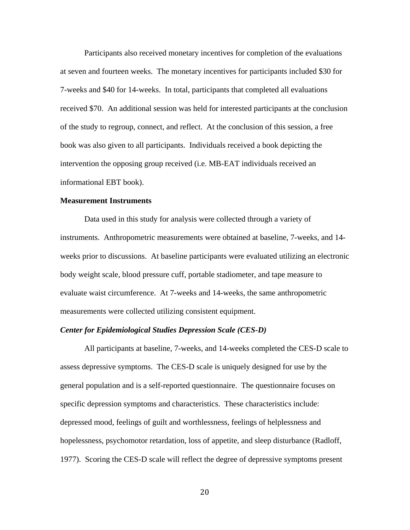Participants also received monetary incentives for completion of the evaluations at seven and fourteen weeks. The monetary incentives for participants included \$30 for 7-weeks and \$40 for 14-weeks. In total, participants that completed all evaluations received \$70. An additional session was held for interested participants at the conclusion of the study to regroup, connect, and reflect. At the conclusion of this session, a free book was also given to all participants. Individuals received a book depicting the intervention the opposing group received (i.e. MB-EAT individuals received an informational EBT book).

## **Measurement Instruments**

Data used in this study for analysis were collected through a variety of instruments. Anthropometric measurements were obtained at baseline, 7-weeks, and 14 weeks prior to discussions. At baseline participants were evaluated utilizing an electronic body weight scale, blood pressure cuff, portable stadiometer, and tape measure to evaluate waist circumference. At 7-weeks and 14-weeks, the same anthropometric measurements were collected utilizing consistent equipment.

# *Center for Epidemiological Studies Depression Scale (CES-D)*

All participants at baseline, 7-weeks, and 14-weeks completed the CES-D scale to assess depressive symptoms. The CES-D scale is uniquely designed for use by the general population and is a self-reported questionnaire. The questionnaire focuses on specific depression symptoms and characteristics. These characteristics include: depressed mood, feelings of guilt and worthlessness, feelings of helplessness and hopelessness, psychomotor retardation, loss of appetite, and sleep disturbance (Radloff, 1977). Scoring the CES-D scale will reflect the degree of depressive symptoms present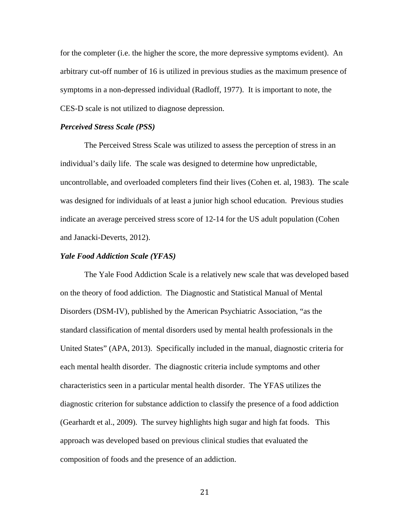for the completer (i.e. the higher the score, the more depressive symptoms evident). An arbitrary cut-off number of 16 is utilized in previous studies as the maximum presence of symptoms in a non-depressed individual (Radloff, 1977). It is important to note, the CES-D scale is not utilized to diagnose depression.

#### *Perceived Stress Scale (PSS)*

The Perceived Stress Scale was utilized to assess the perception of stress in an individual's daily life. The scale was designed to determine how unpredictable, uncontrollable, and overloaded completers find their lives (Cohen et. al, 1983). The scale was designed for individuals of at least a junior high school education. Previous studies indicate an average perceived stress score of 12-14 for the US adult population (Cohen and Janacki-Deverts, 2012).

#### *Yale Food Addiction Scale (YFAS)*

The Yale Food Addiction Scale is a relatively new scale that was developed based on the theory of food addiction. The Diagnostic and Statistical Manual of Mental Disorders (DSM-IV), published by the American Psychiatric Association, "as the standard classification of mental disorders used by mental health professionals in the United States" (APA, 2013). Specifically included in the manual, diagnostic criteria for each mental health disorder. The diagnostic criteria include symptoms and other characteristics seen in a particular mental health disorder. The YFAS utilizes the diagnostic criterion for substance addiction to classify the presence of a food addiction (Gearhardt et al., 2009). The survey highlights high sugar and high fat foods. This approach was developed based on previous clinical studies that evaluated the composition of foods and the presence of an addiction.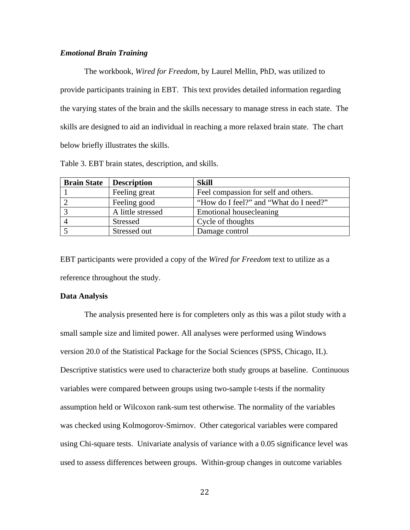## *Emotional Brain Training*

The workbook, *Wired for Freedom*, by Laurel Mellin, PhD, was utilized to provide participants training in EBT. This text provides detailed information regarding the varying states of the brain and the skills necessary to manage stress in each state. The skills are designed to aid an individual in reaching a more relaxed brain state. The chart below briefly illustrates the skills.

|  |  | Table 3. EBT brain states, description, and skills. |  |
|--|--|-----------------------------------------------------|--|
|  |  |                                                     |  |

| <b>Brain State</b> | <b>Description</b> | <b>Skill</b>                           |
|--------------------|--------------------|----------------------------------------|
|                    | Feeling great      | Feel compassion for self and others.   |
|                    | Feeling good       | "How do I feel?" and "What do I need?" |
|                    | A little stressed  | Emotional housecleaning                |
|                    | Stressed           | Cycle of thoughts                      |
|                    | Stressed out       | Damage control                         |

EBT participants were provided a copy of the *Wired for Freedom* text to utilize as a reference throughout the study.

#### **Data Analysis**

The analysis presented here is for completers only as this was a pilot study with a small sample size and limited power. All analyses were performed using Windows version 20.0 of the Statistical Package for the Social Sciences (SPSS, Chicago, IL). Descriptive statistics were used to characterize both study groups at baseline. Continuous variables were compared between groups using two-sample t-tests if the normality assumption held or Wilcoxon rank-sum test otherwise. The normality of the variables was checked using Kolmogorov-Smirnov. Other categorical variables were compared using Chi-square tests. Univariate analysis of variance with a 0.05 significance level was used to assess differences between groups. Within-group changes in outcome variables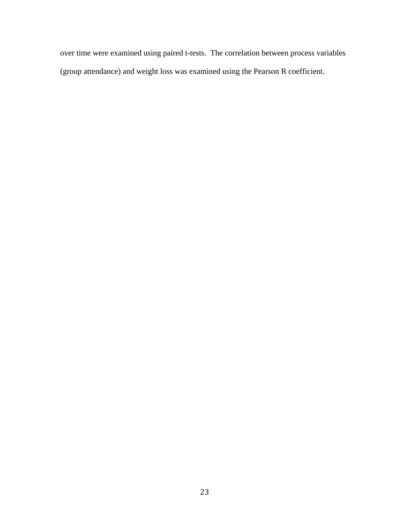over time were examined using paired t-tests. The correlation between process variables (group attendance) and weight loss was examined using the Pearson R coefficient.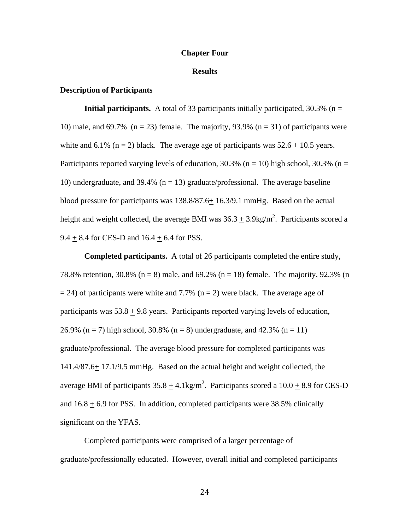## **Chapter Four**

#### **Results**

# **Description of Participants**

**Initial participants.** A total of 33 participants initially participated,  $30.3\%$  (n = 10) male, and 69.7% ( $n = 23$ ) female. The majority, 93.9% ( $n = 31$ ) of participants were white and 6.1% (n = 2) black. The average age of participants was  $52.6 \pm 10.5$  years. Participants reported varying levels of education,  $30.3\%$  (n = 10) high school,  $30.3\%$  (n = 10) undergraduate, and 39.4% ( $n = 13$ ) graduate/professional. The average baseline blood pressure for participants was 138.8/87.6+ 16.3/9.1 mmHg. Based on the actual height and weight collected, the average BMI was  $36.3 \pm 3.9$ kg/m<sup>2</sup>. Participants scored a  $9.4 + 8.4$  for CES-D and  $16.4 + 6.4$  for PSS.

 **Completed participants.** A total of 26 participants completed the entire study, 78.8% retention, 30.8% ( $n = 8$ ) male, and 69.2% ( $n = 18$ ) female. The majority, 92.3% (n  $= 24$ ) of participants were white and 7.7% (n = 2) were black. The average age of participants was  $53.8 \pm 9.8$  years. Participants reported varying levels of education, 26.9% (n = 7) high school, 30.8% (n = 8) undergraduate, and 42.3% (n = 11) graduate/professional. The average blood pressure for completed participants was 141.4/87.6+ 17.1/9.5 mmHg. Based on the actual height and weight collected, the average BMI of participants  $35.8 \pm 4.1$ kg/m<sup>2</sup>. Participants scored a  $10.0 \pm 8.9$  for CES-D and  $16.8 \pm 6.9$  for PSS. In addition, completed participants were 38.5% clinically significant on the YFAS.

Completed participants were comprised of a larger percentage of graduate/professionally educated. However, overall initial and completed participants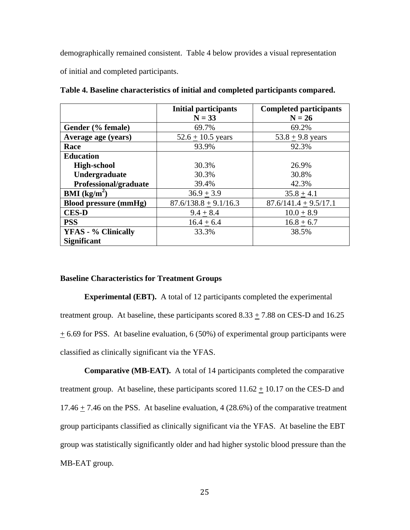demographically remained consistent. Table 4 below provides a visual representation of initial and completed participants.

|                              | <b>Initial participants</b><br>$N = 33$ | <b>Completed participants</b><br>$N = 26$ |
|------------------------------|-----------------------------------------|-------------------------------------------|
| Gender (% female)            | 69.7%                                   | 69.2%                                     |
| Average age (years)          | $52.6 + 10.5$ years                     | $53.8 + 9.8$ years                        |
| Race                         | 93.9%                                   | 92.3%                                     |
| <b>Education</b>             |                                         |                                           |
| <b>High-school</b>           | 30.3%                                   | 26.9%                                     |
| Undergraduate                | 30.3%                                   | 30.8%                                     |
| Professional/graduate        | 39.4%                                   | 42.3%                                     |
| <b>BMI</b> ( $kg/m2$ )       | $36.9 + 3.9$                            | $35.8 + 4.1$                              |
| <b>Blood pressure (mmHg)</b> | $87.6/138.8 + 9.1/16.3$                 | $87.6/141.4 + 9.5/17.1$                   |
| <b>CES-D</b>                 | $9.4 + 8.4$                             | $10.0 + 8.9$                              |
| <b>PSS</b>                   | $16.4 + 6.4$                            | $16.8 + 6.7$                              |
| <b>YFAS - % Clinically</b>   | 33.3%                                   | 38.5%                                     |
| <b>Significant</b>           |                                         |                                           |

**Table 4. Baseline characteristics of initial and completed participants compared.**

## **Baseline Characteristics for Treatment Groups**

**Experimental (EBT).** A total of 12 participants completed the experimental treatment group. At baseline, these participants scored  $8.33 \pm 7.88$  on CES-D and 16.25  $+$  6.69 for PSS. At baseline evaluation, 6 (50%) of experimental group participants were classified as clinically significant via the YFAS.

**Comparative (MB-EAT).** A total of 14 participants completed the comparative treatment group. At baseline, these participants scored  $11.62 \pm 10.17$  on the CES-D and 17.46  $\pm$  7.46 on the PSS. At baseline evaluation, 4 (28.6%) of the comparative treatment group participants classified as clinically significant via the YFAS. At baseline the EBT group was statistically significantly older and had higher systolic blood pressure than the MB-EAT group.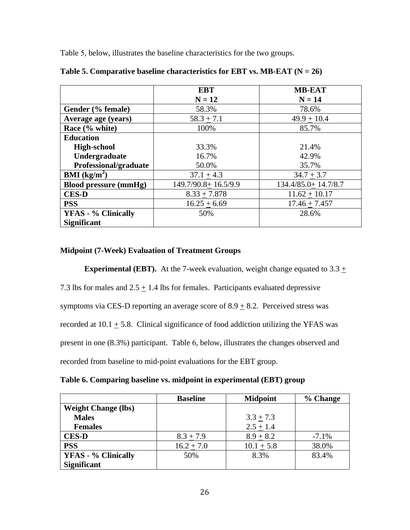Table 5, below, illustrates the baseline characteristics for the two groups.

|                              | <b>EBT</b>          | <b>MB-EAT</b>       |
|------------------------------|---------------------|---------------------|
|                              | $N = 12$            | $N = 14$            |
| Gender (% female)            | 58.3%               | 78.6%               |
| Average age (years)          | $58.3 + 7.1$        | $49.9 + 10.4$       |
| Race (% white)               | 100%                | 85.7%               |
| <b>Education</b>             |                     |                     |
| <b>High-school</b>           | 33.3%               | 21.4%               |
| Undergraduate                | 16.7%               | 42.9%               |
| Professional/graduate        | 50.0%               | 35.7%               |
| <b>BMI</b> ( $kg/m2$ )       | $37.1 + 4.3$        | $34.7 + 3.7$        |
| <b>Blood pressure (mmHg)</b> | 149.7/90.8+16.5/9.9 | 134.4/85.0+14.7/8.7 |
| <b>CES-D</b>                 | $8.33 + 7.878$      | $11.62 + 10.17$     |
| <b>PSS</b>                   | $16.25 + 6.69$      | $17.46 + 7.457$     |
| <b>YFAS - % Clinically</b>   | 50%                 | 28.6%               |
| <b>Significant</b>           |                     |                     |

Table 5. Comparative baseline characteristics for EBT vs. MB-EAT  $(N = 26)$ 

# **Midpoint (7-Week) Evaluation of Treatment Groups**

**Experimental (EBT).** At the 7-week evaluation, weight change equated to 3.3 +

7.3 lbs for males and  $2.5 \pm 1.4$  lbs for females. Participants evaluated depressive

symptoms via CES-D reporting an average score of  $8.9 \pm 8.2$ . Perceived stress was

recorded at  $10.1 \pm 5.8$ . Clinical significance of food addiction utilizing the YFAS was

present in one (8.3%) participant. Table 6, below, illustrates the changes observed and

recorded from baseline to mid-point evaluations for the EBT group.

**Table 6. Comparing baseline vs. midpoint in experimental (EBT) group** 

|                            | <b>Baseline</b> | <b>Midpoint</b> | % Change |
|----------------------------|-----------------|-----------------|----------|
| <b>Weight Change (lbs)</b> |                 |                 |          |
| <b>Males</b>               |                 | $3.3 \pm 7.3$   |          |
| <b>Females</b>             |                 | $2.5 \pm 1.4$   |          |
| <b>CES-D</b>               | $8.3 + 7.9$     | $8.9 + 8.2$     | $-7.1%$  |
| <b>PSS</b>                 | $16.2 + 7.0$    | $10.1 \pm 5.8$  | 38.0%    |
| <b>YFAS - % Clinically</b> | 50%             | 8.3%            | 83.4%    |
| <b>Significant</b>         |                 |                 |          |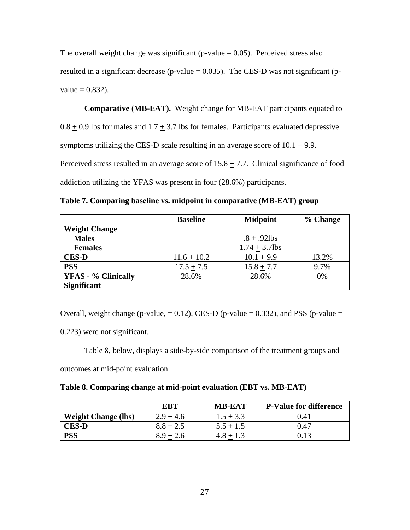The overall weight change was significant (p-value  $= 0.05$ ). Perceived stress also resulted in a significant decrease (p-value  $= 0.035$ ). The CES-D was not significant (p $value = 0.832$ ).

 **Comparative (MB-EAT).** Weight change for MB-EAT participants equated to  $0.8 \pm 0.9$  lbs for males and  $1.7 \pm 3.7$  lbs for females. Participants evaluated depressive symptoms utilizing the CES-D scale resulting in an average score of  $10.1 \pm 9.9$ . Perceived stress resulted in an average score of  $15.8 \pm 7.7$ . Clinical significance of food addiction utilizing the YFAS was present in four (28.6%) participants.

**Table 7. Comparing baseline vs. midpoint in comparative (MB-EAT) group** 

|                            | <b>Baseline</b> | <b>Midpoint</b>  | % Change |
|----------------------------|-----------------|------------------|----------|
| <b>Weight Change</b>       |                 |                  |          |
| <b>Males</b>               |                 | $.8 + .92$ lbs   |          |
| <b>Females</b>             |                 | $1.74 + 3.7$ lbs |          |
| <b>CES-D</b>               | $11.6 + 10.2$   | $10.1 + 9.9$     | 13.2%    |
| <b>PSS</b>                 | $17.5 + 7.5$    | $15.8 + 7.7$     | 9.7%     |
| <b>YFAS - % Clinically</b> | 28.6%           | 28.6%            | 0%       |
| <b>Significant</b>         |                 |                  |          |

Overall, weight change (p-value,  $= 0.12$ ), CES-D (p-value  $= 0.332$ ), and PSS (p-value  $=$ 

0.223) were not significant.

Table 8, below, displays a side-by-side comparison of the treatment groups and

outcomes at mid-point evaluation.

|  |  |  |  |  |  | Table 8. Comparing change at mid-point evaluation (EBT vs. MB-EAT) |  |
|--|--|--|--|--|--|--------------------------------------------------------------------|--|
|--|--|--|--|--|--|--------------------------------------------------------------------|--|

|                            | <b>EBT</b>  | <b>MB-EAT</b> | <b>P-Value for difference</b> |
|----------------------------|-------------|---------------|-------------------------------|
| <b>Weight Change (lbs)</b> | $2.9 + 4.6$ | $1.5 + 3.3$   | 0.41                          |
| <b>CES-D</b>               | $8.8 + 2.5$ | $5.5 + 1.5$   | 0.47                          |
| <b>PSS</b>                 | $8.9 + 2.6$ |               | 0.13                          |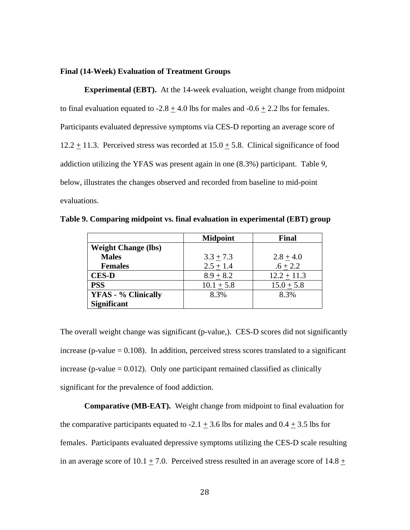## **Final (14-Week) Evaluation of Treatment Groups**

**Experimental (EBT).** At the 14-week evaluation, weight change from midpoint to final evaluation equated to  $-2.8 \pm 4.0$  lbs for males and  $-0.6 \pm 2.2$  lbs for females. Participants evaluated depressive symptoms via CES-D reporting an average score of 12.2  $\pm$  11.3. Perceived stress was recorded at 15.0  $\pm$  5.8. Clinical significance of food addiction utilizing the YFAS was present again in one (8.3%) participant. Table 9, below, illustrates the changes observed and recorded from baseline to mid-point evaluations.

**Table 9. Comparing midpoint vs. final evaluation in experimental (EBT) group** 

|                            | <b>Midpoint</b> | Final         |
|----------------------------|-----------------|---------------|
| <b>Weight Change (lbs)</b> |                 |               |
| <b>Males</b>               | $3.3 + 7.3$     | $2.8 + 4.0$   |
| <b>Females</b>             | $2.5 + 1.4$     | $.6 + 2.2$    |
| <b>CES-D</b>               | $8.9 + 8.2$     | $12.2 + 11.3$ |
| <b>PSS</b>                 | $10.1 + 5.8$    | $15.0 + 5.8$  |
| <b>YFAS - % Clinically</b> | 8.3%            | 8.3%          |
| <b>Significant</b>         |                 |               |

The overall weight change was significant (p-value,). CES-D scores did not significantly increase (p-value  $= 0.108$ ). In addition, perceived stress scores translated to a significant increase (p-value  $= 0.012$ ). Only one participant remained classified as clinically significant for the prevalence of food addiction.

**Comparative (MB-EAT).** Weight change from midpoint to final evaluation for the comparative participants equated to -2.1  $\pm$  3.6 lbs for males and 0.4  $\pm$  3.5 lbs for females. Participants evaluated depressive symptoms utilizing the CES-D scale resulting in an average score of 10.1  $\pm$  7.0. Perceived stress resulted in an average score of 14.8  $\pm$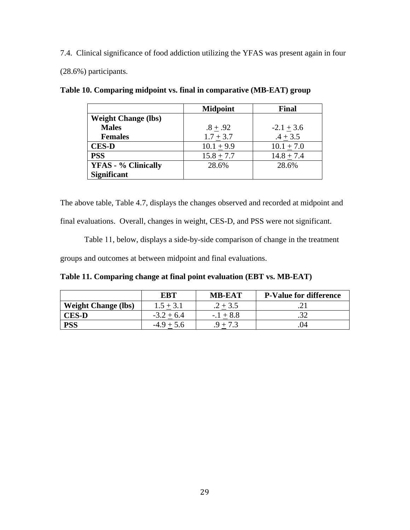7.4. Clinical significance of food addiction utilizing the YFAS was present again in four (28.6%) participants.

|                            | <b>Midpoint</b> | <b>Final</b>   |
|----------------------------|-----------------|----------------|
| <b>Weight Change (lbs)</b> |                 |                |
| <b>Males</b>               | $.8 + .92$      | $-2.1 + 3.6$   |
| <b>Females</b>             | $1.7 + 3.7$     | $.4 + 3.5$     |
| <b>CES-D</b>               | $10.1 + 9.9$    | $10.1 + 7.0$   |
| <b>PSS</b>                 | $15.8 + 7.7$    | $14.8 \pm 7.4$ |
| <b>YFAS - % Clinically</b> | 28.6%           | 28.6%          |
| <b>Significant</b>         |                 |                |

**Table 10. Comparing midpoint vs. final in comparative (MB-EAT) group** 

The above table, Table 4.7, displays the changes observed and recorded at midpoint and final evaluations. Overall, changes in weight, CES-D, and PSS were not significant.

Table 11, below, displays a side-by-side comparison of change in the treatment groups and outcomes at between midpoint and final evaluations.

**Table 11. Comparing change at final point evaluation (EBT vs. MB-EAT)** 

|                            | <b>EBT</b>   | <b>MB-EAT</b> | <b>P-Value for difference</b> |
|----------------------------|--------------|---------------|-------------------------------|
| <b>Weight Change (lbs)</b> | $1.5 + 3.1$  | $.2 + 3.5$    |                               |
| <b>CES-D</b>               | $-3.2 + 6.4$ | $-.1 + 8.8$   |                               |
| <b>PSS</b>                 | $-4.9 + 5.6$ |               | 11                            |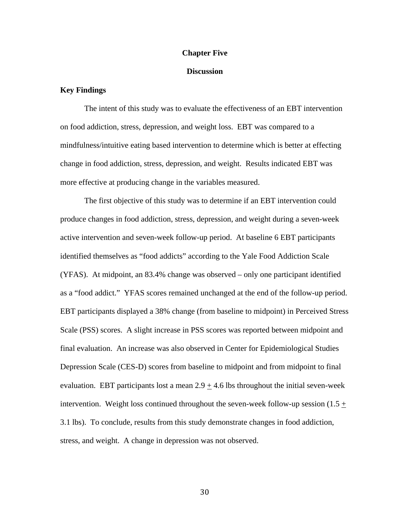#### **Chapter Five**

# **Discussion**

# **Key Findings**

The intent of this study was to evaluate the effectiveness of an EBT intervention on food addiction, stress, depression, and weight loss. EBT was compared to a mindfulness/intuitive eating based intervention to determine which is better at effecting change in food addiction, stress, depression, and weight. Results indicated EBT was more effective at producing change in the variables measured.

 The first objective of this study was to determine if an EBT intervention could produce changes in food addiction, stress, depression, and weight during a seven-week active intervention and seven-week follow-up period. At baseline 6 EBT participants identified themselves as "food addicts" according to the Yale Food Addiction Scale (YFAS). At midpoint, an 83.4% change was observed – only one participant identified as a "food addict." YFAS scores remained unchanged at the end of the follow-up period. EBT participants displayed a 38% change (from baseline to midpoint) in Perceived Stress Scale (PSS) scores. A slight increase in PSS scores was reported between midpoint and final evaluation. An increase was also observed in Center for Epidemiological Studies Depression Scale (CES-D) scores from baseline to midpoint and from midpoint to final evaluation. EBT participants lost a mean  $2.9 \pm 4.6$  lbs throughout the initial seven-week intervention. Weight loss continued throughout the seven-week follow-up session  $(1.5 +$ 3.1 lbs). To conclude, results from this study demonstrate changes in food addiction, stress, and weight. A change in depression was not observed.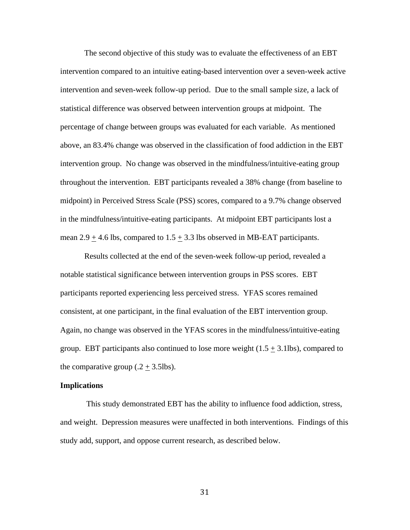The second objective of this study was to evaluate the effectiveness of an EBT intervention compared to an intuitive eating-based intervention over a seven-week active intervention and seven-week follow-up period. Due to the small sample size, a lack of statistical difference was observed between intervention groups at midpoint. The percentage of change between groups was evaluated for each variable. As mentioned above, an 83.4% change was observed in the classification of food addiction in the EBT intervention group. No change was observed in the mindfulness/intuitive-eating group throughout the intervention. EBT participants revealed a 38% change (from baseline to midpoint) in Perceived Stress Scale (PSS) scores, compared to a 9.7% change observed in the mindfulness/intuitive-eating participants. At midpoint EBT participants lost a mean  $2.9 + 4.6$  lbs, compared to  $1.5 + 3.3$  lbs observed in MB-EAT participants.

 Results collected at the end of the seven-week follow-up period, revealed a notable statistical significance between intervention groups in PSS scores. EBT participants reported experiencing less perceived stress. YFAS scores remained consistent, at one participant, in the final evaluation of the EBT intervention group. Again, no change was observed in the YFAS scores in the mindfulness/intuitive-eating group. EBT participants also continued to lose more weight  $(1.5 \pm 3.1$ lbs), compared to the comparative group  $(.2 + 3.5$ lbs).

#### **Implications**

 This study demonstrated EBT has the ability to influence food addiction, stress, and weight. Depression measures were unaffected in both interventions. Findings of this study add, support, and oppose current research, as described below.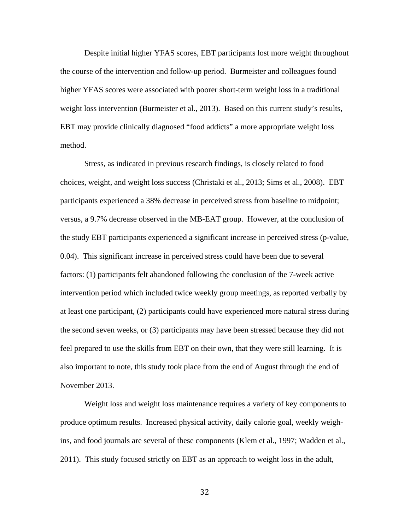Despite initial higher YFAS scores, EBT participants lost more weight throughout the course of the intervention and follow-up period. Burmeister and colleagues found higher YFAS scores were associated with poorer short-term weight loss in a traditional weight loss intervention (Burmeister et al., 2013). Based on this current study's results, EBT may provide clinically diagnosed "food addicts" a more appropriate weight loss method.

 Stress, as indicated in previous research findings, is closely related to food choices, weight, and weight loss success (Christaki et al., 2013; Sims et al., 2008). EBT participants experienced a 38% decrease in perceived stress from baseline to midpoint; versus, a 9.7% decrease observed in the MB-EAT group. However, at the conclusion of the study EBT participants experienced a significant increase in perceived stress (p-value, 0.04). This significant increase in perceived stress could have been due to several factors: (1) participants felt abandoned following the conclusion of the 7-week active intervention period which included twice weekly group meetings, as reported verbally by at least one participant, (2) participants could have experienced more natural stress during the second seven weeks, or (3) participants may have been stressed because they did not feel prepared to use the skills from EBT on their own, that they were still learning. It is also important to note, this study took place from the end of August through the end of November 2013.

 Weight loss and weight loss maintenance requires a variety of key components to produce optimum results. Increased physical activity, daily calorie goal, weekly weighins, and food journals are several of these components (Klem et al., 1997; Wadden et al., 2011). This study focused strictly on EBT as an approach to weight loss in the adult,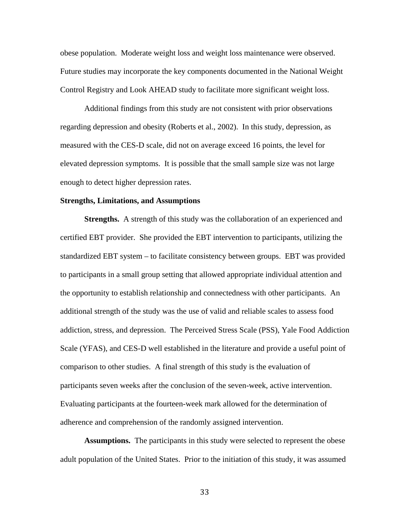obese population. Moderate weight loss and weight loss maintenance were observed. Future studies may incorporate the key components documented in the National Weight Control Registry and Look AHEAD study to facilitate more significant weight loss.

 Additional findings from this study are not consistent with prior observations regarding depression and obesity (Roberts et al., 2002). In this study, depression, as measured with the CES-D scale, did not on average exceed 16 points, the level for elevated depression symptoms. It is possible that the small sample size was not large enough to detect higher depression rates.

#### **Strengths, Limitations, and Assumptions**

**Strengths.** A strength of this study was the collaboration of an experienced and certified EBT provider. She provided the EBT intervention to participants, utilizing the standardized EBT system – to facilitate consistency between groups. EBT was provided to participants in a small group setting that allowed appropriate individual attention and the opportunity to establish relationship and connectedness with other participants. An additional strength of the study was the use of valid and reliable scales to assess food addiction, stress, and depression. The Perceived Stress Scale (PSS), Yale Food Addiction Scale (YFAS), and CES-D well established in the literature and provide a useful point of comparison to other studies. A final strength of this study is the evaluation of participants seven weeks after the conclusion of the seven-week, active intervention. Evaluating participants at the fourteen-week mark allowed for the determination of adherence and comprehension of the randomly assigned intervention.

 **Assumptions.** The participants in this study were selected to represent the obese adult population of the United States. Prior to the initiation of this study, it was assumed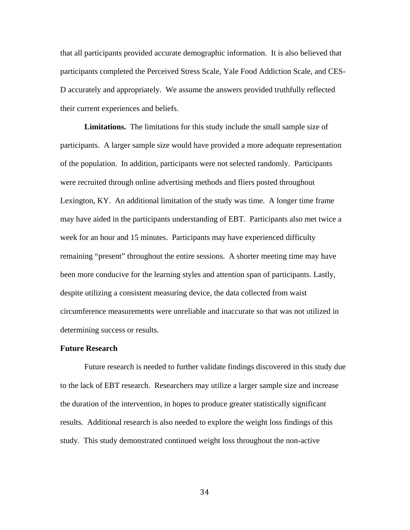that all participants provided accurate demographic information. It is also believed that participants completed the Perceived Stress Scale, Yale Food Addiction Scale, and CES-D accurately and appropriately. We assume the answers provided truthfully reflected their current experiences and beliefs.

 **Limitations.** The limitations for this study include the small sample size of participants. A larger sample size would have provided a more adequate representation of the population. In addition, participants were not selected randomly. Participants were recruited through online advertising methods and fliers posted throughout Lexington, KY. An additional limitation of the study was time. A longer time frame may have aided in the participants understanding of EBT. Participants also met twice a week for an hour and 15 minutes. Participants may have experienced difficulty remaining "present" throughout the entire sessions. A shorter meeting time may have been more conducive for the learning styles and attention span of participants. Lastly, despite utilizing a consistent measuring device, the data collected from waist circumference measurements were unreliable and inaccurate so that was not utilized in determining success or results.

## **Future Research**

 Future research is needed to further validate findings discovered in this study due to the lack of EBT research. Researchers may utilize a larger sample size and increase the duration of the intervention, in hopes to produce greater statistically significant results. Additional research is also needed to explore the weight loss findings of this study. This study demonstrated continued weight loss throughout the non-active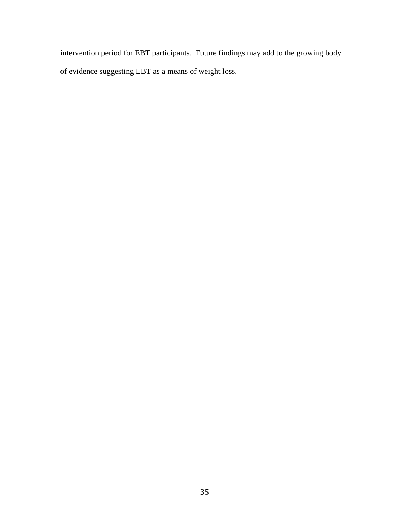intervention period for EBT participants. Future findings may add to the growing body of evidence suggesting EBT as a means of weight loss.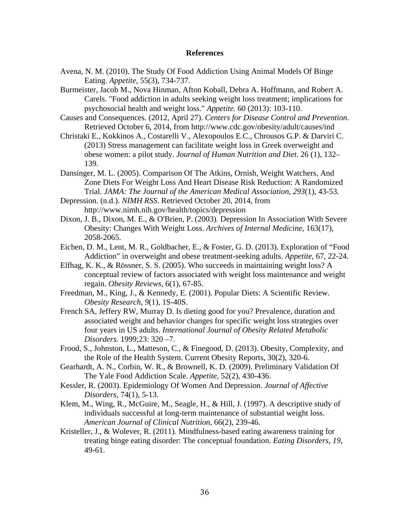#### **References**

- Avena, N. M. (2010). The Study Of Food Addiction Using Animal Models Of Binge Eating. *Appetite*, 55(3), 734-737.
- Burmeister, Jacob M., Nova Hinman, Afton Koball, Debra A. Hoffmann, and Robert A. Carels. "Food addiction in adults seeking weight loss treatment; implications for psychosocial health and weight loss." *Appetite.* 60 (2013): 103-110.
- Causes and Consequences. (2012, April 27). *Centers for Disease Control and Prevention*. Retrieved October 6, 2014, from http://www.cdc.gov/obesity/adult/causes/ind
- Christaki E., Kokkinos A., Costarelli V., Alexopoulos E.C., Chrousos G.P. & Darviri C. (2013) Stress management can facilitate weight loss in Greek overweight and obese women: a pilot study. *Journal of Human Nutrition and Diet*. 26 (1), 132– 139.
- Dansinger, M. L. (2005). Comparison Of The Atkins, Ornish, Weight Watchers, And Zone Diets For Weight Loss And Heart Disease Risk Reduction: A Randomized Trial. *JAMA: The Journal of the American Medical Association*, *293*(1), 43-53.
- Depression. (n.d.). *NIMH RSS*. Retrieved October 20, 2014, from http://www.nimh.nih.gov/health/topics/depression
- Dixon, J. B., Dixon, M. E., & O'Brien, P. (2003). Depression In Association With Severe Obesity: Changes With Weight Loss. *Archives of Internal Medicine,* 163(17), 2058-2065.
- Eichen, D. M., Lent, M. R., Goldbacher, E., & Foster, G. D. (2013). Exploration of "Food Addiction" in overweight and obese treatment-seeking adults. *Appetite*, 67, 22-24.
- Elfhag, K. K., & Rössner, S. S. (2005). Who succeeds in maintaining weight loss? A conceptual review of factors associated with weight loss maintenance and weight regain. *Obesity Reviews*, 6(1), 67-85.
- Freedman, M., King, J., & Kennedy, E. (2001). Popular Diets: A Scientific Review. *Obesity Research*, *9*(1), 1S-40S.
- French SA, Jeffery RW, Murray D. Is dieting good for you? Prevalence, duration and associated weight and behavior changes for specific weight loss strategies over four years in US adults. *International Journal of Obesity Related Metabolic Disorders.* 1999;23: 320 –7.
- Frood, S., Johnston, L., Matteson, C., & Finegood, D. (2013). Obesity, Complexity, and the Role of the Health System. Current Obesity Reports, 30(2), 320-6.
- Gearhardt, A. N., Corbin, W. R., & Brownell, K. D. (2009). Preliminary Validation Of The Yale Food Addiction Scale. *Appetite*, 52(2), 430-436.
- Kessler, R. (2003). Epidemiology Of Women And Depression. *Journal of Affective Disorders*, 74(1), 5-13.
- Klem, M., Wing, R., McGuire, M., Seagle, H., & Hill, J. (1997). A descriptive study of individuals successful at long-term maintenance of substantial weight loss. *American Journal of Clinical Nutrition*, 66(2), 239-46.
- Kristeller, J., & Wolever, R. (2011). Mindfulness-based eating awareness training for treating binge eating disorder: The conceptual foundation. *Eating Disorders*, *19*, 49-61.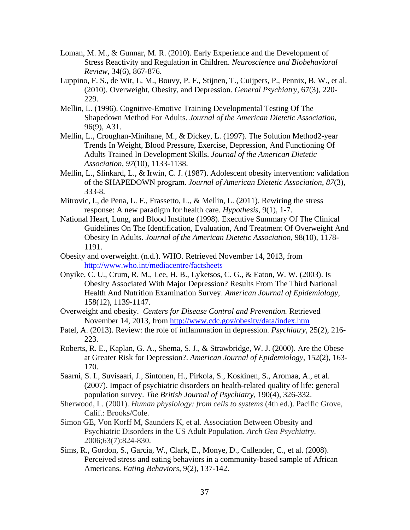- Loman, M. M., & Gunnar, M. R. (2010). Early Experience and the Development of Stress Reactivity and Regulation in Children. *Neuroscience and Biobehavioral Review*, 34(6), 867-876.
- Luppino, F. S., de Wit, L. M., Bouvy, P. F., Stijnen, T., Cuijpers, P., Pennix, B. W., et al. (2010). Overweight, Obesity, and Depression. *General Psychiatry*, 67(3), 220- 229.
- Mellin, L. (1996). Cognitive-Emotive Training Developmental Testing Of The Shapedown Method For Adults. *Journal of the American Dietetic Association*, 96(9), A31.
- Mellin, L., Croughan-Minihane, M., & Dickey, L. (1997). The Solution Method2-year Trends In Weight, Blood Pressure, Exercise, Depression, And Functioning Of Adults Trained In Development Skills. *Journal of the American Dietetic Association*, *97*(10), 1133-1138.
- Mellin, L., Slinkard, L., & Irwin, C. J. (1987). Adolescent obesity intervention: validation of the SHAPEDOWN program. *Journal of American Dietetic Association*, *87*(3), 333-8.
- Mitrovic, I., de Pena, L. F., Frassetto, L., & Mellin, L. (2011). Rewiring the stress response: A new paradigm for health care. *Hypothesis*, 9(1), 1-7.
- National Heart, Lung, and Blood Institute (1998). Executive Summary Of The Clinical Guidelines On The Identification, Evaluation, And Treatment Of Overweight And Obesity In Adults. *Journal of the American Dietetic Association*, 98(10), 1178- 1191.
- Obesity and overweight. (n.d.). WHO. Retrieved November 14, 2013, from http://www.who.int/mediacentre/factsheets
- Onyike, C. U., Crum, R. M., Lee, H. B., Lyketsos, C. G., & Eaton, W. W. (2003). Is Obesity Associated With Major Depression? Results From The Third National Health And Nutrition Examination Survey. *American Journal of Epidemiology*, 158(12), 1139-1147.
- Overweight and obesity. *Centers for Disease Control and Prevention.* Retrieved November 14, 2013, from http://www.cdc.gov/obesity/data/index.htm
- Patel, A. (2013). Review: the role of inflammation in depression*. Psychiatry*, 25(2), 216- 223.
- Roberts, R. E., Kaplan, G. A., Shema, S. J., & Strawbridge, W. J. (2000). Are the Obese at Greater Risk for Depression?. *American Journal of Epidemiology*, 152(2), 163- 170.
- Saarni, S. I., Suvisaari, J., Sintonen, H., Pirkola, S., Koskinen, S., Aromaa, A., et al. (2007). Impact of psychiatric disorders on health-related quality of life: general population survey. *The British Journal of Psychiatry*, 190(4), 326-332.
- Sherwood, L. (2001). *Human physiology: from cells to systems* (4th ed.). Pacific Grove, Calif.: Brooks/Cole.
- Simon GE, Von Korff M, Saunders K, et al. Association Between Obesity and Psychiatric Disorders in the US Adult Population. *Arch Gen Psychiatry.*  2006;63(7):824-830.
- Sims, R., Gordon, S., Garcia, W., Clark, E., Monye, D., Callender, C., et al. (2008). Perceived stress and eating behaviors in a community-based sample of African Americans. *Eating Behaviors*, 9(2), 137-142.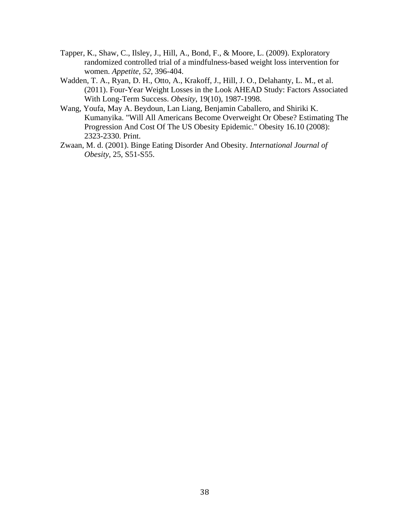- Tapper, K., Shaw, C., Ilsley, J., Hill, A., Bond, F., & Moore, L. (2009). Exploratory randomized controlled trial of a mindfulness-based weight loss intervention for women. *Appetite*, *52*, 396-404.
- Wadden, T. A., Ryan, D. H., Otto, A., Krakoff, J., Hill, J. O., Delahanty, L. M., et al. (2011). Four-Year Weight Losses in the Look AHEAD Study: Factors Associated With Long-Term Success. *Obesity*, 19(10), 1987-1998.
- Wang, Youfa, May A. Beydoun, Lan Liang, Benjamin Caballero, and Shiriki K. Kumanyika. "Will All Americans Become Overweight Or Obese? Estimating The Progression And Cost Of The US Obesity Epidemic." Obesity 16.10 (2008): 2323-2330. Print.
- Zwaan, M. d. (2001). Binge Eating Disorder And Obesity. *International Journal of Obesity*, 25, S51-S55.